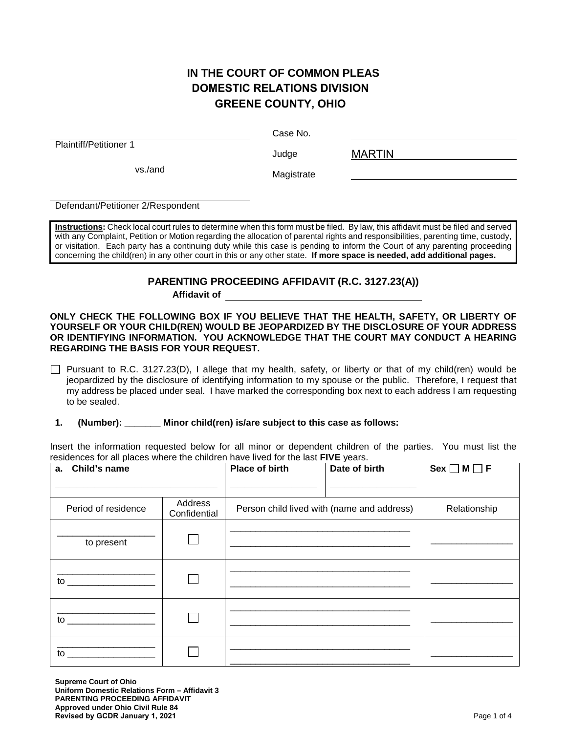# **IN THE COURT OF COMMON PLEAS DOMESTIC RELATIONS DIVISION GREENE COUNTY, OHIO**

Plaintiff/Petitioner 1

Case No.

Judge

MARTIN

vs./and Magistrate

Defendant/Petitioner 2/Respondent

**Instructions:** Check local court rules to determine when this form must be filed. By law, this affidavit must be filed and served with any Complaint, Petition or Motion regarding the allocation of parental rights and responsibilities, parenting time, custody, or visitation. Each party has a continuing duty while this case is pending to inform the Court of any parenting proceeding concerning the child(ren) in any other court in this or any other state. **If more space is needed, add additional pages.**

## **PARENTING PROCEEDING AFFIDAVIT (R.C. 3127.23(A))**

**Affidavit of**

**ONLY CHECK THE FOLLOWING BOX IF YOU BELIEVE THAT THE HEALTH, SAFETY, OR LIBERTY OF YOURSELF OR YOUR CHILD(REN) WOULD BE JEOPARDIZED BY THE DISCLOSURE OF YOUR ADDRESS OR IDENTIFYING INFORMATION. YOU ACKNOWLEDGE THAT THE COURT MAY CONDUCT A HEARING REGARDING THE BASIS FOR YOUR REQUEST.**

Pursuant to R.C. 3127.23(D), I allege that my health, safety, or liberty or that of my child(ren) would be jeopardized by the disclosure of identifying information to my spouse or the public. Therefore, I request that my address be placed under seal. I have marked the corresponding box next to each address I am requesting to be sealed.

## **1. (Number): \_\_\_\_\_\_\_ Minor child(ren) is/are subject to this case as follows:**

Insert the information requested below for all minor or dependent children of the parties. You must list the residences for all places where the children have lived for the last **FIVE** years.

| a. Child's name                                                                                                                                                                                                                |                         | <b>Place of birth</b>                      | Date of birth | $Sex \Box M \Box F$ |
|--------------------------------------------------------------------------------------------------------------------------------------------------------------------------------------------------------------------------------|-------------------------|--------------------------------------------|---------------|---------------------|
|                                                                                                                                                                                                                                |                         |                                            |               |                     |
| Period of residence                                                                                                                                                                                                            | Address<br>Confidential | Person child lived with (name and address) |               | Relationship        |
| to present                                                                                                                                                                                                                     |                         |                                            |               |                     |
| to the contract of the contract of the contract of the contract of the contract of the contract of the contract of the contract of the contract of the contract of the contract of the contract of the contract of the contrac |                         |                                            |               |                     |
| to the contract of the contract of the contract of the contract of the contract of the contract of the contract of the contract of the contract of the contract of the contract of the contract of the contract of the contrac |                         |                                            |               |                     |
| to                                                                                                                                                                                                                             |                         |                                            |               |                     |

**Supreme Court of Ohio Uniform Domestic Relations Form – Affidavit 3 PARENTING PROCEEDING AFFIDAVIT Approved under Ohio Civil Rule 84 Revised by GCDR January 1, 2021** Page 1 of 4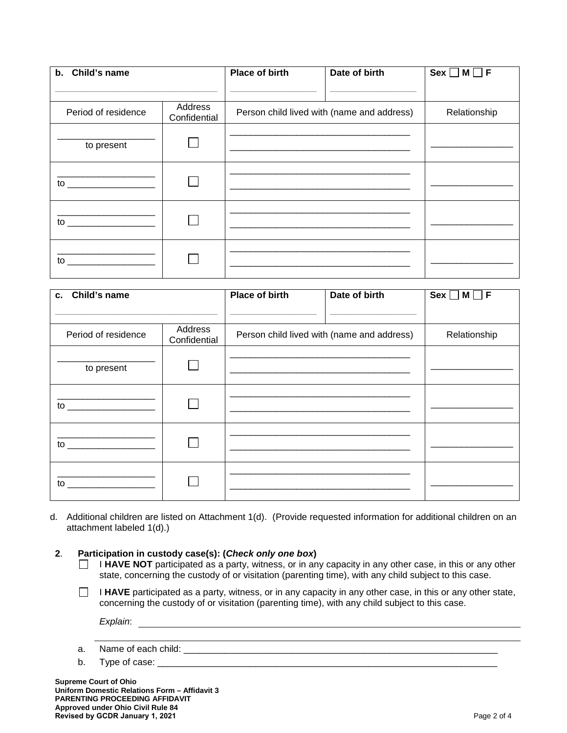| b. Child's name                                                                                                                                                                                                                |                         | Place of birth | Date of birth                              | $Sex \Box M$<br>IF F |
|--------------------------------------------------------------------------------------------------------------------------------------------------------------------------------------------------------------------------------|-------------------------|----------------|--------------------------------------------|----------------------|
|                                                                                                                                                                                                                                |                         |                |                                            |                      |
| Period of residence                                                                                                                                                                                                            | Address<br>Confidential |                | Person child lived with (name and address) | Relationship         |
| to present                                                                                                                                                                                                                     |                         |                |                                            |                      |
| $\mathsf{to}$                                                                                                                                                                                                                  |                         |                |                                            |                      |
| to the contract of the contract of the contract of the contract of the contract of the contract of the contract of the contract of the contract of the contract of the contract of the contract of the contract of the contrac |                         |                |                                            |                      |
| $\mathsf{to}$                                                                                                                                                                                                                  |                         |                |                                            |                      |

| c. Child's name                                                                                                                                                                                                                |                         | Place of birth | Date of birth                              | $Sex \Box M \Box F$ |
|--------------------------------------------------------------------------------------------------------------------------------------------------------------------------------------------------------------------------------|-------------------------|----------------|--------------------------------------------|---------------------|
|                                                                                                                                                                                                                                |                         |                |                                            |                     |
|                                                                                                                                                                                                                                |                         |                |                                            |                     |
| Period of residence                                                                                                                                                                                                            | Address<br>Confidential |                | Person child lived with (name and address) | Relationship        |
|                                                                                                                                                                                                                                |                         |                |                                            |                     |
| to present                                                                                                                                                                                                                     |                         |                |                                            |                     |
|                                                                                                                                                                                                                                |                         |                |                                            |                     |
|                                                                                                                                                                                                                                |                         |                |                                            |                     |
| to the contract of the contract of the contract of the contract of the contract of the contract of the contract of the contract of the contract of the contract of the contract of the contract of the contract of the contrac |                         |                |                                            |                     |
|                                                                                                                                                                                                                                |                         |                |                                            |                     |
|                                                                                                                                                                                                                                |                         |                |                                            |                     |
|                                                                                                                                                                                                                                |                         |                |                                            |                     |
|                                                                                                                                                                                                                                |                         |                |                                            |                     |
|                                                                                                                                                                                                                                |                         |                |                                            |                     |
| $\mathsf{to}$                                                                                                                                                                                                                  |                         |                |                                            |                     |
|                                                                                                                                                                                                                                |                         |                |                                            |                     |

d. Additional children are listed on Attachment 1(d). (Provide requested information for additional children on an attachment labeled 1(d).)

#### **2**. **Participation in custody case(s): (***Check only one box***)**

- I HAVE NOT participated as a party, witness, or in any capacity in any other case, in this or any other  $\Box$ state, concerning the custody of or visitation (parenting time), with any child subject to this case.
- $\Box$ I **HAVE** participated as a party, witness, or in any capacity in any other case, in this or any other state, concerning the custody of or visitation (parenting time), with any child subject to this case.

*Explain*:

- a. Name of each child: \_\_\_\_\_\_\_\_\_\_\_\_\_\_\_\_\_\_\_\_\_\_\_\_\_\_\_\_\_\_\_\_\_\_\_\_\_\_\_\_\_\_\_\_\_\_\_\_\_\_\_\_\_\_\_\_\_\_\_\_\_
- b. Type of case: \_\_\_\_\_\_\_\_\_\_\_\_\_\_\_\_\_\_\_\_\_\_\_\_\_\_\_\_\_\_\_\_\_\_\_\_\_\_\_\_\_\_\_\_\_\_\_\_\_\_\_\_\_\_\_\_\_\_\_\_\_\_\_\_\_\_

**Supreme Court of Ohio Uniform Domestic Relations Form – Affidavit 3 PARENTING PROCEEDING AFFIDAVIT Approved under Ohio Civil Rule 84 Revised by GCDR January 1, 2021** Page 2 of 4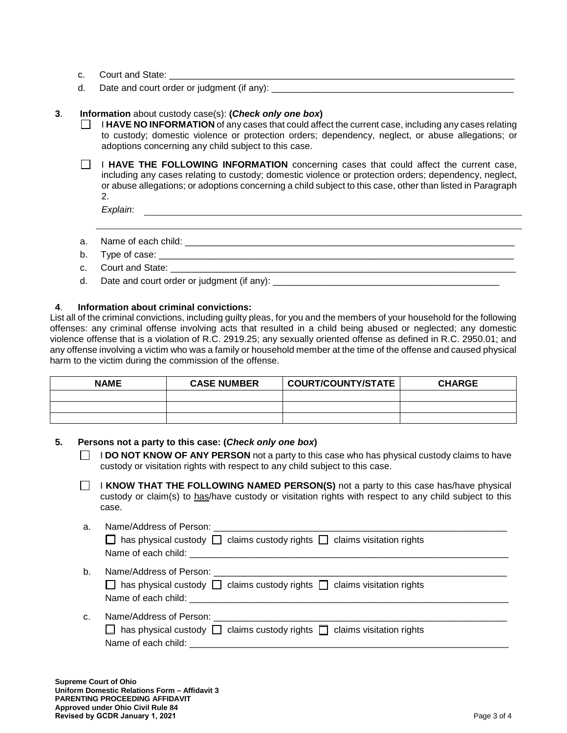- c. Court and State:
- d. Date and court order or judgment (if any):

### **3**. **Information** about custody case(s): **(***Check only one box***)**

I **HAVE NO INFORMATION** of any cases that could affect the current case, including any cases relating to custody; domestic violence or protection orders; dependency, neglect, or abuse allegations; or adoptions concerning any child subject to this case.

**I HAVE THE FOLLOWING INFORMATION** concerning cases that could affect the current case, including any cases relating to custody; domestic violence or protection orders; dependency, neglect, or abuse allegations; or adoptions concerning a child subject to this case, other than listed in Paragraph 2.

*Explain*:

- a. Name of each child:  $\Box$
- b. Type of case: \_\_\_\_\_
- c. Court and State: \_\_\_\_\_\_\_\_\_\_\_
- d. Date and court order or judgment (if any):

### **4**. **Information about criminal convictions:**

List all of the criminal convictions, including guilty pleas, for you and the members of your household for the following offenses: any criminal offense involving acts that resulted in a child being abused or neglected; any domestic violence offense that is a violation of R.C. 2919.25; any sexually oriented offense as defined in R.C. 2950.01; and any offense involving a victim who was a family or household member at the time of the offense and caused physical harm to the victim during the commission of the offense.

| <b>NAME</b> | <b>CASE NUMBER</b> | COURT/COUNTY/STATE | <b>CHARGE</b> |
|-------------|--------------------|--------------------|---------------|
|             |                    |                    |               |
|             |                    |                    |               |
|             |                    |                    |               |

## **5. Persons not a party to this case: (***Check only one box***)**

**I DO NOT KNOW OF ANY PERSON** not a party to this case who has physical custody claims to have custody or visitation rights with respect to any child subject to this case.

I KNOW THAT THE FOLLOWING NAMED PERSON(S) not a party to this case has/have physical  $\mathbf{L}$ custody or claim(s) to has/have custody or visitation rights with respect to any child subject to this case.

| a. | $\Box$ has physical custody $\Box$ claims custody rights $\Box$ claims visitation rights                                            |
|----|-------------------------------------------------------------------------------------------------------------------------------------|
| b. | $\Box$ has physical custody $\Box$ claims custody rights $\Box$ claims visitation rights                                            |
| C. | $\Box$ has physical custody $\Box$ claims custody rights $\Box$ claims visitation rights<br>Name of each child: Name of each child: |